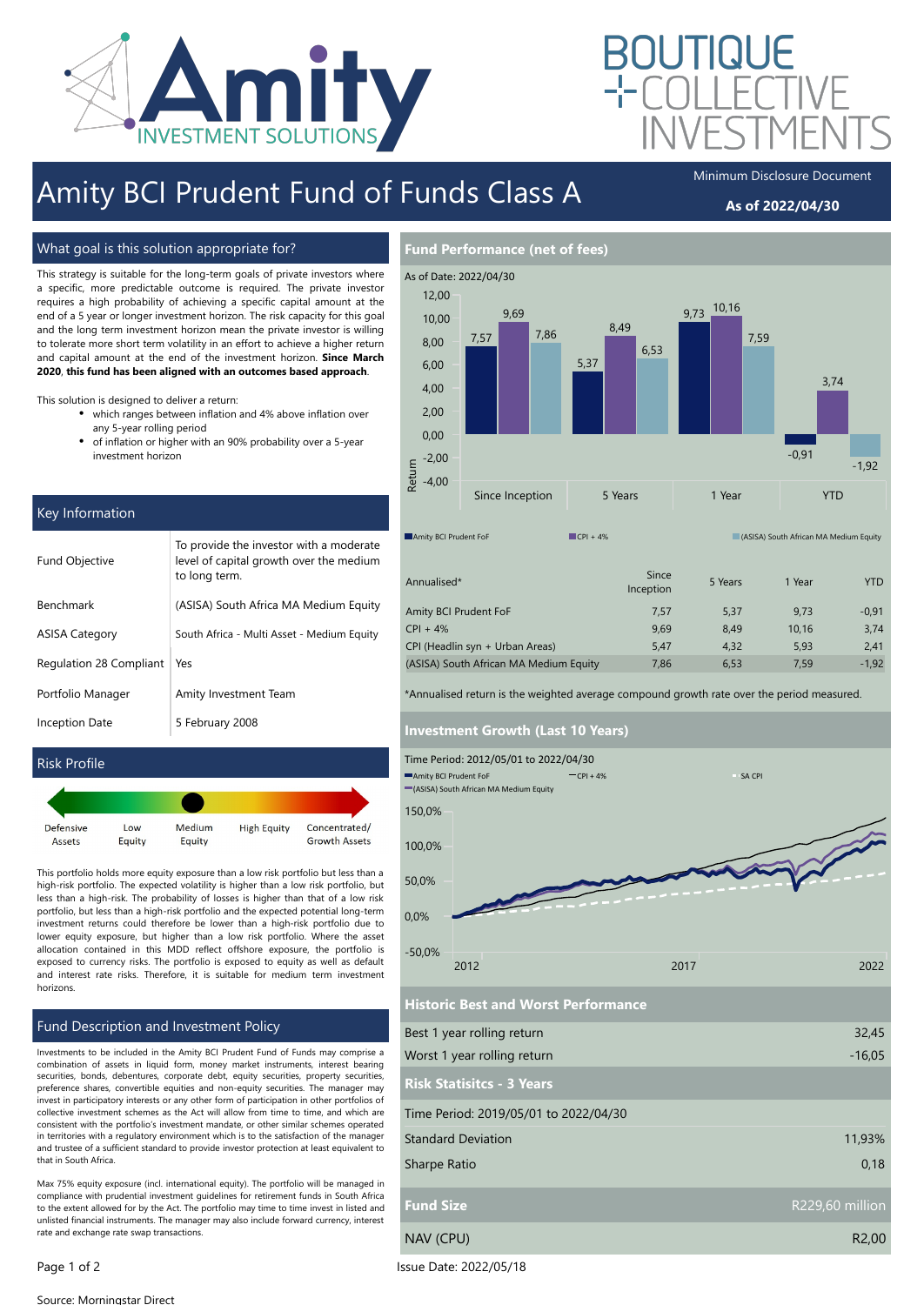

# Amity BCI Prudent Fund of Funds Class A

### As of 2022/04/30

What goal is this solution appropriate for?

This strategy is suitable for the long-term goals of private investors where a specific, more predictable outcome is required. The private investor requires a high probability of achieving a specific capital amount at the end of a 5 year or longer investment horizon. The risk capacity for this goal and the long term investment horizon mean the private investor is willing to tolerate more short term volatility in an effort to achieve a higher return and capital amount at the end of the investment horizon. Since March 2020, this fund has been aligned with an outcomes based approach.

This solution is designed to deliver a return:

- which ranges between inflation and 4% above inflation over any 5-year rolling period
- $\bullet$ of inflation or higher with an 90% probability over a 5-year investment horizon

| Key Information         |                                                                                                     |  |  |  |  |  |
|-------------------------|-----------------------------------------------------------------------------------------------------|--|--|--|--|--|
| <b>Fund Objective</b>   | To provide the investor with a moderate<br>level of capital growth over the medium<br>to long term. |  |  |  |  |  |
| Benchmark               | (ASISA) South Africa MA Medium Equity                                                               |  |  |  |  |  |
| <b>ASISA Category</b>   | South Africa - Multi Asset - Medium Equity                                                          |  |  |  |  |  |
| Regulation 28 Compliant | Yes                                                                                                 |  |  |  |  |  |
| Portfolio Manager       | Amity Investment Team                                                                               |  |  |  |  |  |
| <b>Inception Date</b>   | 5 February 2008                                                                                     |  |  |  |  |  |
|                         |                                                                                                     |  |  |  |  |  |

### Risk Profile



This portfolio holds more equity exposure than a low risk portfolio but less than a high-risk portfolio. The expected volatility is higher than a low risk portfolio, but less than a high-risk. The probability of losses is higher than that of a low risk portfolio, but less than a high-risk portfolio and the expected potential long-term investment returns could therefore be lower than a high-risk portfolio due to lower equity exposure, but higher than a low risk portfolio. Where the asset allocation contained in this MDD reflect offshore exposure, the portfolio is exposed to currency risks. The portfolio is exposed to equity as well as default and interest rate risks. Therefore, it is suitable for medium term investment horizons.

### Fund Description and Investment Policy

Investments to be included in the Amity BCI Prudent Fund of Funds may comprise a combination of assets in liquid form, money market instruments, interest bearing securities, bonds, debentures, corporate debt, equity securities, property securities, preference shares, convertible equities and non-equity securities. The manager may invest in participatory interests or any other form of participation in other portfolios of collective investment schemes as the Act will allow from time to time, and which are consistent with the portfolio's investment mandate, or other similar schemes operated in territories with a regulatory environment which is to the satisfaction of the manager and trustee of a sufficient standard to provide investor protection at least equivalent to that in South Africa.

Max 75% equity exposure (incl. international equity). The portfolio will be managed in compliance with prudential investment guidelines for retirement funds in South Africa to the extent allowed for by the Act. The portfolio may time to time invest in listed and unlisted financial instruments. The manager may also include forward currency, interest rate and exchange rate swap transactions.



Annualised\* Since Since Since Since Since Since Since Since Since Since Since Since Since Since Since Since Since Since Since Since Since Since Since Since Since Since Since Since Since Since Since Since Since Since Since Inception 5 Years 1 Year 7TD Amity BCI Prudent FoF  $CPI + 4%$ CPI (Headlin syn + Urban Areas) (ASISA) South African MA Medium Equity 7,57 5,37 9,73 -0,91 9,69 8,49 10,16 3,74 7,86 6,53 7,59 -1,92 5,47 4,32 5,93 2,41

\*Annualised return is the weighted average compound growth rate over the period measured.